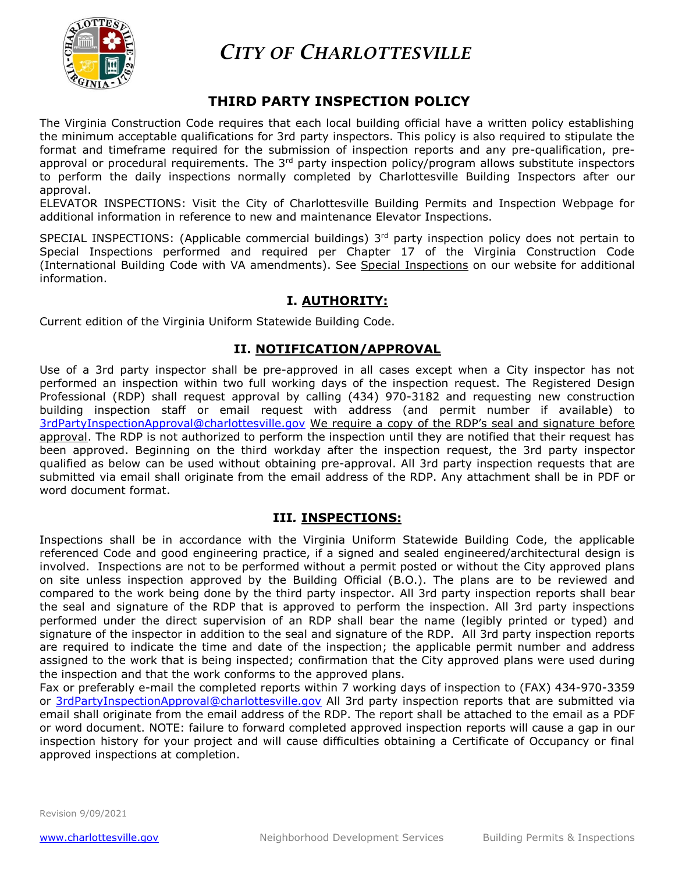

 *CITY OF CHARLOTTESVILLE* 

# **THIRD PARTY INSPECTION POLICY**

The Virginia Construction Code requires that each local building official have a written policy establishing the minimum acceptable qualifications for 3rd party inspectors. This policy is also required to stipulate the format and timeframe required for the submission of inspection reports and any pre-qualification, preapproval or procedural requirements. The 3<sup>rd</sup> party inspection policy/program allows substitute inspectors to perform the daily inspections normally completed by Charlottesville Building Inspectors after our approval.

ELEVATOR INSPECTIONS: Visit the City of Charlottesville Building Permits and Inspection Webpage for additional information in reference to new and maintenance Elevator Inspections.

SPECIAL INSPECTIONS: (Applicable commercial buildings) 3<sup>rd</sup> party inspection policy does not pertain to Special Inspections performed and required per Chapter 17 of the Virginia Construction Code (International Building Code with VA amendments). See Special Inspections on our website for additional information.

# **I. AUTHORITY:**

Current edition of the Virginia Uniform Statewide Building Code.

# **II. NOTIFICATION/APPROVAL**

Use of a 3rd party inspector shall be pre-approved in all cases except when a City inspector has not performed an inspection within two full working days of the inspection request. The Registered Design Professional (RDP) shall request approval by calling (434) 970-3182 and requesting new construction building inspection staff or email request with address (and permit number if available) to [3rdPartyInspectionApproval@charlottesville.gov](mailto:3rdPartyInspectionApproval@charlottesville.gov) We require a copy of the RDP's seal and signature before approval. The RDP is not authorized to perform the inspection until they are notified that their request has been approved. Beginning on the third workday after the inspection request, the 3rd party inspector qualified as below can be used without obtaining pre-approval. All 3rd party inspection requests that are submitted via email shall originate from the email address of the RDP. Any attachment shall be in PDF or word document format.

### **III***.* **INSPECTIONS:**

Inspections shall be in accordance with the Virginia Uniform Statewide Building Code, the applicable referenced Code and good engineering practice, if a signed and sealed engineered/architectural design is involved. Inspections are not to be performed without a permit posted or without the City approved plans on site unless inspection approved by the Building Official (B.O.). The plans are to be reviewed and compared to the work being done by the third party inspector. All 3rd party inspection reports shall bear the seal and signature of the RDP that is approved to perform the inspection. All 3rd party inspections performed under the direct supervision of an RDP shall bear the name (legibly printed or typed) and signature of the inspector in addition to the seal and signature of the RDP. All 3rd party inspection reports are required to indicate the time and date of the inspection; the applicable permit number and address assigned to the work that is being inspected; confirmation that the City approved plans were used during the inspection and that the work conforms to the approved plans.

Fax or preferably e-mail the completed reports within 7 working days of inspection to (FAX) 434-970-3359 or [3rdPartyInspectionApproval@charlottesville.gov](mailto:3rdPartyInspectionApproval@charlottesville.gov) All 3rd party inspection reports that are submitted via email shall originate from the email address of the RDP. The report shall be attached to the email as a PDF or word document. NOTE: failure to forward completed approved inspection reports will cause a gap in our inspection history for your project and will cause difficulties obtaining a Certificate of Occupancy or final approved inspections at completion.